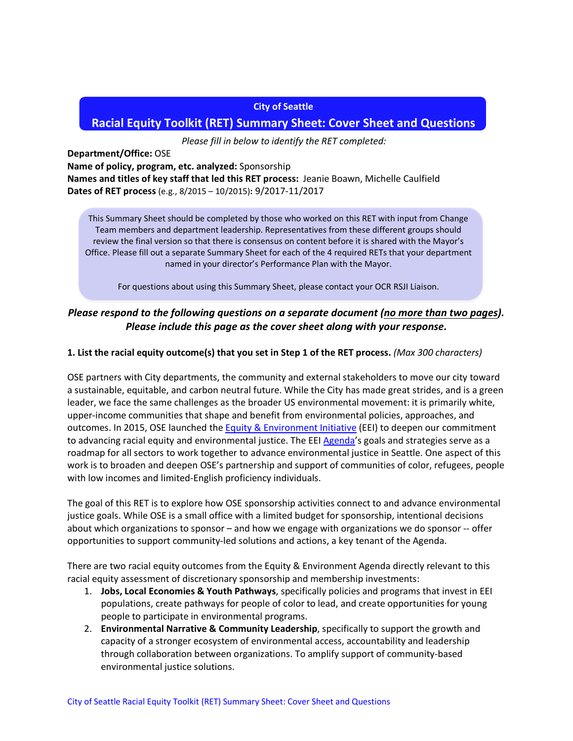#### **City of Seattle**

### **Racial Equity Toolkit (RET) Summary Sheet: Cover Sheet and Questions**

*Please fill in below to identify the RET completed:*

**Department/Office:** OSE

**Name of policy, program, etc. analyzed:** Sponsorship **Names and titles of key staff that led this RET process:** Jeanie Boawn, Michelle Caulfield **Dates of RET process** (e.g., 8/2015 – 10/2015)**:** 9/2017-11/2017

This Summary Sheet should be completed by those who worked on this RET with input from Change Team members and department leadership. Representatives from these different groups should review the final version so that there is consensus on content before it is shared with the Mayor's Office. Please fill out a separate Summary Sheet for each of the 4 required RETs that your department named in your director's Performance Plan with the Mayor.

For questions about using this Summary Sheet, please contact your OCR RSJI Liaison.

## *Please respond to the following questions on a separate document (no more than two pages). Please include this page as the cover sheet along with your response.*

### **1. List the racial equity outcome(s) that you set in Step 1 of the RET process.** *(Max 300 characters)*

OSE partners with City departments, the community and external stakeholders to move our city toward a sustainable, equitable, and carbon neutral future. While the City has made great strides, and is a green leader, we face the same challenges as the broader US environmental movement: it is primarily white, upper-income communities that shape and benefit from environmental policies, approaches, and outcomes. In 2015, OSE launched the [Equity & Environment Initiative](https://www.seattle.gov/environment/about-ose/equity-and-environment) (EEI) to deepen our commitment to advancing racial equity and environmental justice. The EEI [Agenda'](https://www.seattle.gov/Documents/Departments/OSE/SeattleEquityAgenda.pdf)s goals and strategies serve as a roadmap for all sectors to work together to advance environmental justice in Seattle. One aspect of this work is to broaden and deepen OSE's partnership and support of communities of color, refugees, people with low incomes and limited-English proficiency individuals.

The goal of this RET is to explore how OSE sponsorship activities connect to and advance environmental justice goals. While OSE is a small office with a limited budget for sponsorship, intentional decisions about which organizations to sponsor – and how we engage with organizations we do sponsor -- offer opportunities to support community-led solutions and actions, a key tenant of the Agenda.

There are two racial equity outcomes from the Equity & Environment Agenda directly relevant to this racial equity assessment of discretionary sponsorship and membership investments:

- 1. **Jobs, Local Economies & Youth Pathways**, specifically policies and programs that invest in EEI populations, create pathways for people of color to lead, and create opportunities for young people to participate in environmental programs.
- 2. **Environmental Narrative & Community Leadership**, specifically to support the growth and capacity of a stronger ecosystem of environmental access, accountability and leadership through collaboration between organizations. To amplify support of community-based environmental justice solutions.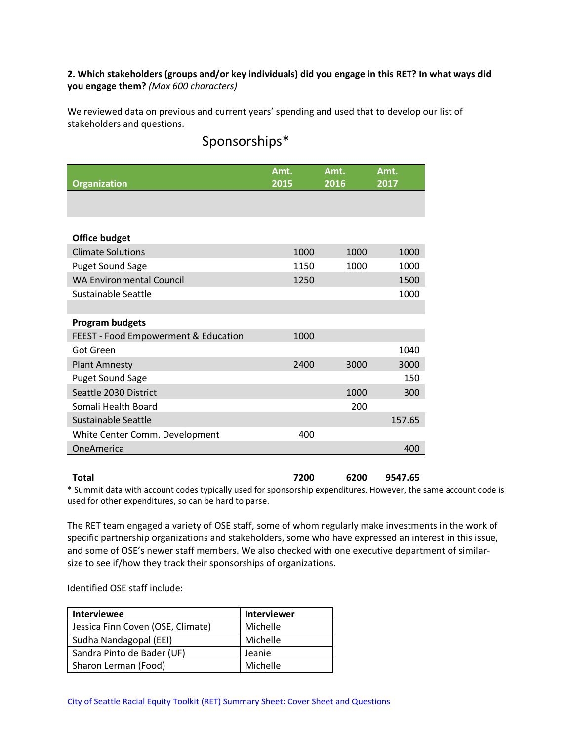### **2. Which stakeholders (groups and/or key individuals) did you engage in this RET? In what ways did you engage them?** *(Max 600 characters)*

We reviewed data on previous and current years' spending and used that to develop our list of stakeholders and questions.

# Sponsorships\*

| <b>Organization</b>                  | Amt.<br>2015 | Amt.<br>2016 | Amt.<br>2017 |
|--------------------------------------|--------------|--------------|--------------|
|                                      |              |              |              |
|                                      |              |              |              |
| <b>Office budget</b>                 |              |              |              |
| <b>Climate Solutions</b>             | 1000         | 1000         | 1000         |
| <b>Puget Sound Sage</b>              | 1150         | 1000         | 1000         |
| <b>WA Environmental Council</b>      | 1250         |              | 1500         |
| Sustainable Seattle                  |              |              | 1000         |
|                                      |              |              |              |
| <b>Program budgets</b>               |              |              |              |
| FEEST - Food Empowerment & Education | 1000         |              |              |
| Got Green                            |              |              | 1040         |
| <b>Plant Amnesty</b>                 | 2400         | 3000         | 3000         |
| <b>Puget Sound Sage</b>              |              |              | 150          |
| Seattle 2030 District                |              | 1000         | 300          |
| Somali Health Board                  |              | 200          |              |
| Sustainable Seattle                  |              |              | 157.65       |
| White Center Comm. Development       | 400          |              |              |
| OneAmerica                           |              |              | 400          |
|                                      |              |              |              |

# **Total 7200 6200 9547.65**

\* Summit data with account codes typically used for sponsorship expenditures. However, the same account code is used for other expenditures, so can be hard to parse.

The RET team engaged a variety of OSE staff, some of whom regularly make investments in the work of specific partnership organizations and stakeholders, some who have expressed an interest in this issue, and some of OSE's newer staff members. We also checked with one executive department of similarsize to see if/how they track their sponsorships of organizations.

Identified OSE staff include:

| Interviewee                       | <b>Interviewer</b> |
|-----------------------------------|--------------------|
| Jessica Finn Coven (OSE, Climate) | Michelle           |
| Sudha Nandagopal (EEI)            | Michelle           |
| Sandra Pinto de Bader (UF)        | Jeanie             |
| Sharon Lerman (Food)              | Michelle           |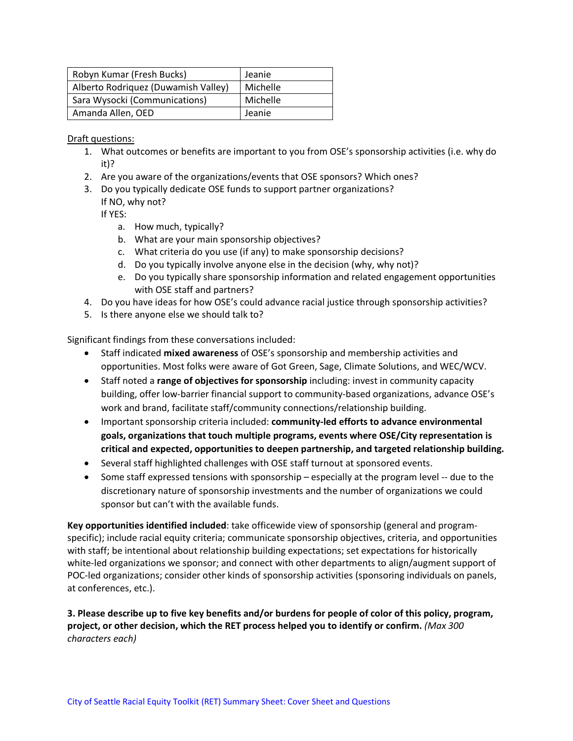| Robyn Kumar (Fresh Bucks)           | Jeanie   |
|-------------------------------------|----------|
| Alberto Rodriquez (Duwamish Valley) | Michelle |
| Sara Wysocki (Communications)       | Michelle |
| Amanda Allen, OED                   | Jeanie   |

### Draft questions:

- 1. What outcomes or benefits are important to you from OSE's sponsorship activities (i.e. why do it)?
- 2. Are you aware of the organizations/events that OSE sponsors? Which ones?
- 3. Do you typically dedicate OSE funds to support partner organizations? If NO, why not?

If YES:

- a. How much, typically?
- b. What are your main sponsorship objectives?
- c. What criteria do you use (if any) to make sponsorship decisions?
- d. Do you typically involve anyone else in the decision (why, why not)?
- e. Do you typically share sponsorship information and related engagement opportunities with OSE staff and partners?
- 4. Do you have ideas for how OSE's could advance racial justice through sponsorship activities?
- 5. Is there anyone else we should talk to?

Significant findings from these conversations included:

- Staff indicated **mixed awareness** of OSE's sponsorship and membership activities and opportunities. Most folks were aware of Got Green, Sage, Climate Solutions, and WEC/WCV.
- Staff noted a **range of objectives for sponsorship** including: invest in community capacity building, offer low-barrier financial support to community-based organizations, advance OSE's work and brand, facilitate staff/community connections/relationship building.
- Important sponsorship criteria included: **community-led efforts to advance environmental goals, organizations that touch multiple programs, events where OSE/City representation is critical and expected, opportunities to deepen partnership, and targeted relationship building.**
- Several staff highlighted challenges with OSE staff turnout at sponsored events.
- Some staff expressed tensions with sponsorship especially at the program level -- due to the discretionary nature of sponsorship investments and the number of organizations we could sponsor but can't with the available funds.

**Key opportunities identified included**: take officewide view of sponsorship (general and programspecific); include racial equity criteria; communicate sponsorship objectives, criteria, and opportunities with staff; be intentional about relationship building expectations; set expectations for historically white-led organizations we sponsor; and connect with other departments to align/augment support of POC-led organizations; consider other kinds of sponsorship activities (sponsoring individuals on panels, at conferences, etc.).

**3. Please describe up to five key benefits and/or burdens for people of color of this policy, program, project, or other decision, which the RET process helped you to identify or confirm.** *(Max 300 characters each)*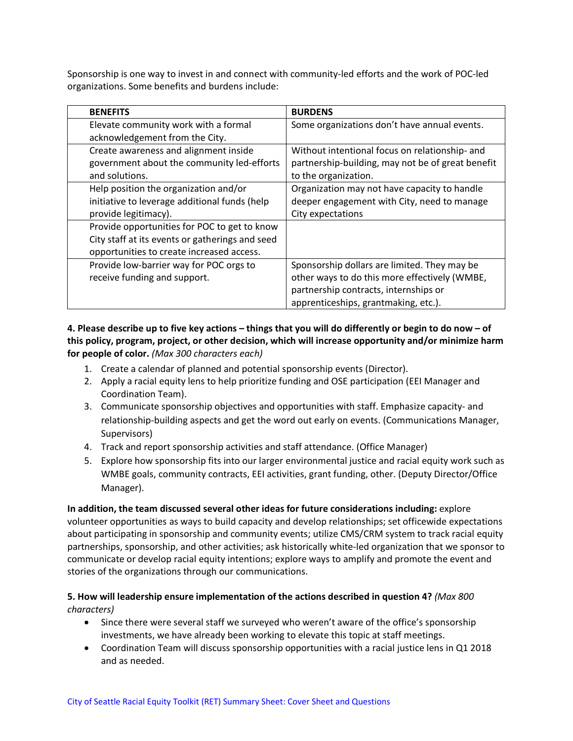Sponsorship is one way to invest in and connect with community-led efforts and the work of POC-led organizations. Some benefits and burdens include:

| <b>BENEFITS</b>                                 | <b>BURDENS</b>                                    |
|-------------------------------------------------|---------------------------------------------------|
| Elevate community work with a formal            | Some organizations don't have annual events.      |
| acknowledgement from the City.                  |                                                   |
| Create awareness and alignment inside           | Without intentional focus on relationship- and    |
| government about the community led-efforts      | partnership-building, may not be of great benefit |
| and solutions.                                  | to the organization.                              |
| Help position the organization and/or           | Organization may not have capacity to handle      |
| initiative to leverage additional funds (help   | deeper engagement with City, need to manage       |
| provide legitimacy).                            | City expectations                                 |
| Provide opportunities for POC to get to know    |                                                   |
| City staff at its events or gatherings and seed |                                                   |
| opportunities to create increased access.       |                                                   |
| Provide low-barrier way for POC orgs to         | Sponsorship dollars are limited. They may be      |
| receive funding and support.                    | other ways to do this more effectively (WMBE,     |
|                                                 | partnership contracts, internships or             |
|                                                 | apprenticeships, grantmaking, etc.).              |

### **4. Please describe up to five key actions – things that you will do differently or begin to do now – of this policy, program, project, or other decision, which will increase opportunity and/or minimize harm for people of color.** *(Max 300 characters each)*

- 1. Create a calendar of planned and potential sponsorship events (Director).
- 2. Apply a racial equity lens to help prioritize funding and OSE participation (EEI Manager and Coordination Team).
- 3. Communicate sponsorship objectives and opportunities with staff. Emphasize capacity- and relationship-building aspects and get the word out early on events. (Communications Manager, Supervisors)
- 4. Track and report sponsorship activities and staff attendance. (Office Manager)
- 5. Explore how sponsorship fits into our larger environmental justice and racial equity work such as WMBE goals, community contracts, EEI activities, grant funding, other. (Deputy Director/Office Manager).

**In addition, the team discussed several other ideas for future considerations including:** explore volunteer opportunities as ways to build capacity and develop relationships; set officewide expectations about participating in sponsorship and community events; utilize CMS/CRM system to track racial equity partnerships, sponsorship, and other activities; ask historically white-led organization that we sponsor to communicate or develop racial equity intentions; explore ways to amplify and promote the event and stories of the organizations through our communications.

### **5. How will leadership ensure implementation of the actions described in question 4?** *(Max 800 characters)*

- Since there were several staff we surveyed who weren't aware of the office's sponsorship investments, we have already been working to elevate this topic at staff meetings.
- Coordination Team will discuss sponsorship opportunities with a racial justice lens in Q1 2018 and as needed.